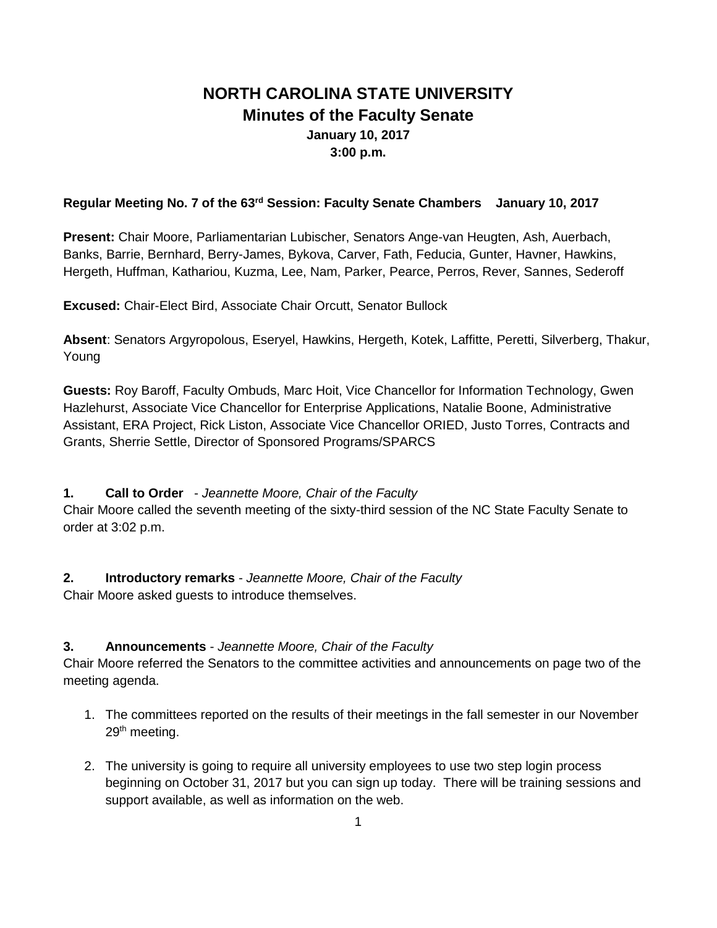# **NORTH CAROLINA STATE UNIVERSITY Minutes of the Faculty Senate January 10, 2017 3:00 p.m.**

### **Regular Meeting No. 7 of the 63rd Session: Faculty Senate Chambers January 10, 2017**

**Present:** Chair Moore, Parliamentarian Lubischer, Senators Ange-van Heugten, Ash, Auerbach, Banks, Barrie, Bernhard, Berry-James, Bykova, Carver, Fath, Feducia, Gunter, Havner, Hawkins, Hergeth, Huffman, Kathariou, Kuzma, Lee, Nam, Parker, Pearce, Perros, Rever, Sannes, Sederoff

**Excused:** Chair-Elect Bird, Associate Chair Orcutt, Senator Bullock

**Absent**: Senators Argyropolous, Eseryel, Hawkins, Hergeth, Kotek, Laffitte, Peretti, Silverberg, Thakur, Young

**Guests:** Roy Baroff, Faculty Ombuds, Marc Hoit, Vice Chancellor for Information Technology, Gwen Hazlehurst, Associate Vice Chancellor for Enterprise Applications, Natalie Boone, Administrative Assistant, ERA Project, Rick Liston, Associate Vice Chancellor ORIED, Justo Torres, Contracts and Grants, Sherrie Settle, Director of Sponsored Programs/SPARCS

### **1. Call to Order** - *Jeannette Moore, Chair of the Faculty*

Chair Moore called the seventh meeting of the sixty-third session of the NC State Faculty Senate to order at 3:02 p.m.

### **2. Introductory remarks** - *Jeannette Moore, Chair of the Faculty*

Chair Moore asked guests to introduce themselves.

### **3. Announcements** - *Jeannette Moore, Chair of the Faculty*

Chair Moore referred the Senators to the committee activities and announcements on page two of the meeting agenda.

- 1. The committees reported on the results of their meetings in the fall semester in our November 29<sup>th</sup> meeting.
- 2. The university is going to require all university employees to use two step login process beginning on October 31, 2017 but you can sign up today. There will be training sessions and support available, as well as information on the web.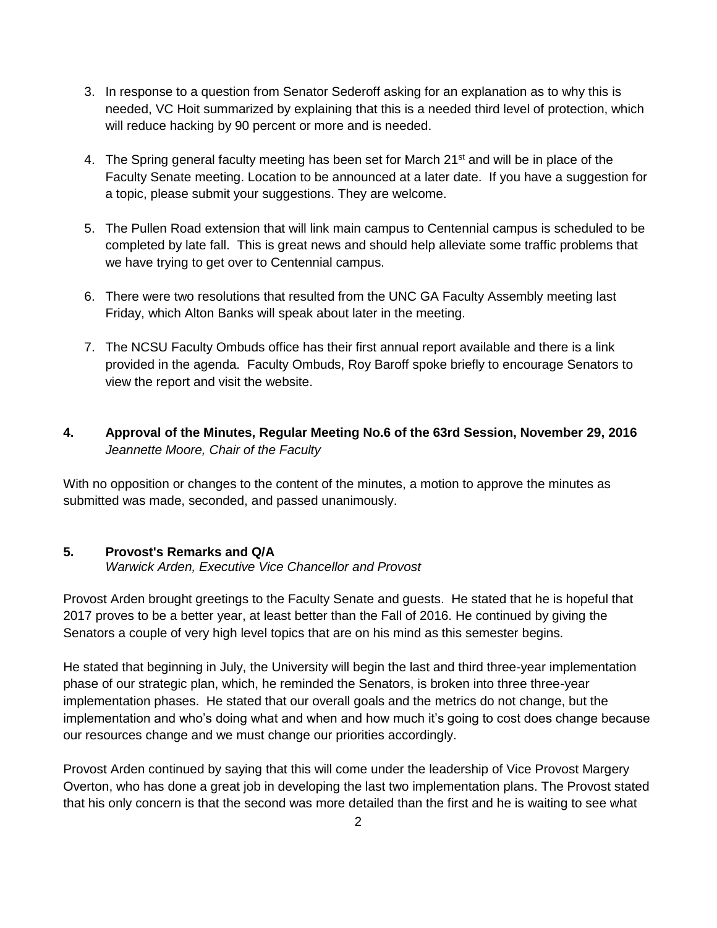- 3. In response to a question from Senator Sederoff asking for an explanation as to why this is needed, VC Hoit summarized by explaining that this is a needed third level of protection, which will reduce hacking by 90 percent or more and is needed.
- 4. The Spring general faculty meeting has been set for March 21<sup>st</sup> and will be in place of the Faculty Senate meeting. Location to be announced at a later date. If you have a suggestion for a topic, please submit your suggestions. They are welcome.
- 5. The Pullen Road extension that will link main campus to Centennial campus is scheduled to be completed by late fall. This is great news and should help alleviate some traffic problems that we have trying to get over to Centennial campus.
- 6. There were two resolutions that resulted from the UNC GA Faculty Assembly meeting last Friday, which Alton Banks will speak about later in the meeting.
- 7. The NCSU Faculty Ombuds office has their first annual report available and there is a link provided in the agenda. Faculty Ombuds, Roy Baroff spoke briefly to encourage Senators to view the report and visit the website.
- **4. Approval of the Minutes, Regular Meeting No.6 of the 63rd Session, November 29, 2016** *Jeannette Moore, Chair of the Faculty*

With no opposition or changes to the content of the minutes, a motion to approve the minutes as submitted was made, seconded, and passed unanimously.

# **5. Provost's Remarks and Q/A**

*Warwick Arden, Executive Vice Chancellor and Provost*

Provost Arden brought greetings to the Faculty Senate and guests. He stated that he is hopeful that 2017 proves to be a better year, at least better than the Fall of 2016. He continued by giving the Senators a couple of very high level topics that are on his mind as this semester begins.

He stated that beginning in July, the University will begin the last and third three-year implementation phase of our strategic plan, which, he reminded the Senators, is broken into three three-year implementation phases. He stated that our overall goals and the metrics do not change, but the implementation and who's doing what and when and how much it's going to cost does change because our resources change and we must change our priorities accordingly.

Provost Arden continued by saying that this will come under the leadership of Vice Provost Margery Overton, who has done a great job in developing the last two implementation plans. The Provost stated that his only concern is that the second was more detailed than the first and he is waiting to see what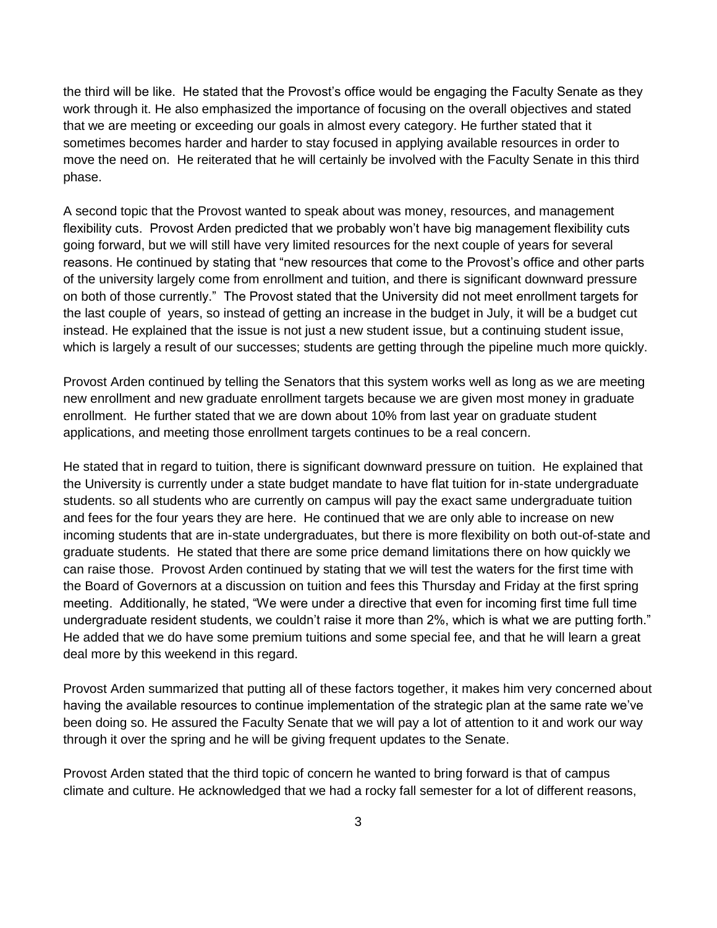the third will be like. He stated that the Provost's office would be engaging the Faculty Senate as they work through it. He also emphasized the importance of focusing on the overall objectives and stated that we are meeting or exceeding our goals in almost every category. He further stated that it sometimes becomes harder and harder to stay focused in applying available resources in order to move the need on. He reiterated that he will certainly be involved with the Faculty Senate in this third phase.

A second topic that the Provost wanted to speak about was money, resources, and management flexibility cuts. Provost Arden predicted that we probably won't have big management flexibility cuts going forward, but we will still have very limited resources for the next couple of years for several reasons. He continued by stating that "new resources that come to the Provost's office and other parts of the university largely come from enrollment and tuition, and there is significant downward pressure on both of those currently." The Provost stated that the University did not meet enrollment targets for the last couple of years, so instead of getting an increase in the budget in July, it will be a budget cut instead. He explained that the issue is not just a new student issue, but a continuing student issue, which is largely a result of our successes; students are getting through the pipeline much more quickly.

Provost Arden continued by telling the Senators that this system works well as long as we are meeting new enrollment and new graduate enrollment targets because we are given most money in graduate enrollment. He further stated that we are down about 10% from last year on graduate student applications, and meeting those enrollment targets continues to be a real concern.

He stated that in regard to tuition, there is significant downward pressure on tuition. He explained that the University is currently under a state budget mandate to have flat tuition for in-state undergraduate students. so all students who are currently on campus will pay the exact same undergraduate tuition and fees for the four years they are here. He continued that we are only able to increase on new incoming students that are in-state undergraduates, but there is more flexibility on both out-of-state and graduate students. He stated that there are some price demand limitations there on how quickly we can raise those. Provost Arden continued by stating that we will test the waters for the first time with the Board of Governors at a discussion on tuition and fees this Thursday and Friday at the first spring meeting. Additionally, he stated, "We were under a directive that even for incoming first time full time undergraduate resident students, we couldn't raise it more than 2%, which is what we are putting forth." He added that we do have some premium tuitions and some special fee, and that he will learn a great deal more by this weekend in this regard.

Provost Arden summarized that putting all of these factors together, it makes him very concerned about having the available resources to continue implementation of the strategic plan at the same rate we've been doing so. He assured the Faculty Senate that we will pay a lot of attention to it and work our way through it over the spring and he will be giving frequent updates to the Senate.

Provost Arden stated that the third topic of concern he wanted to bring forward is that of campus climate and culture. He acknowledged that we had a rocky fall semester for a lot of different reasons,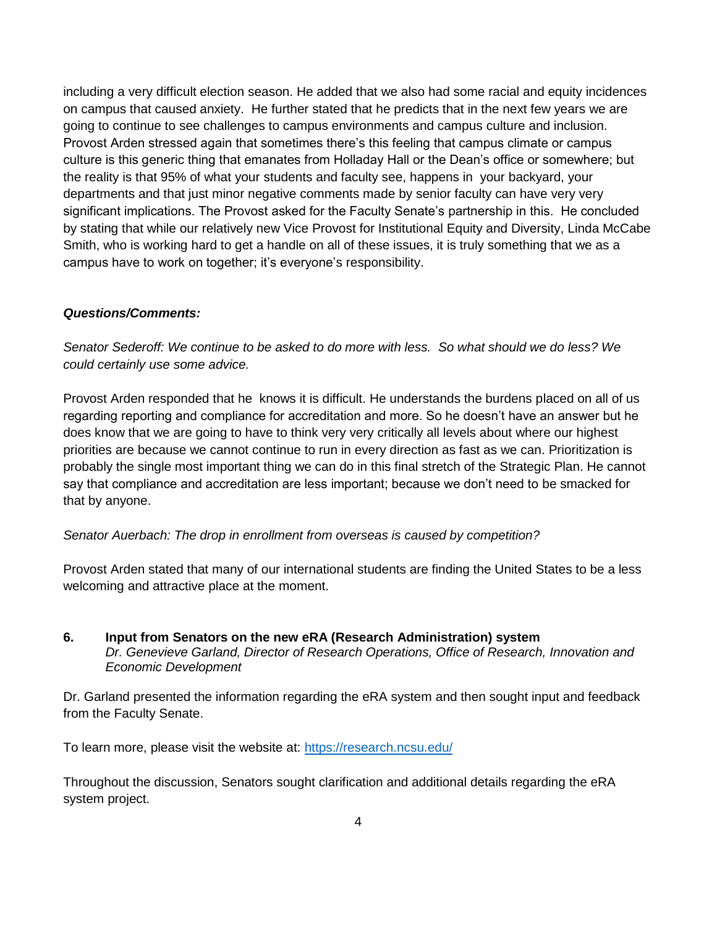including a very difficult election season. He added that we also had some racial and equity incidences on campus that caused anxiety. He further stated that he predicts that in the next few years we are going to continue to see challenges to campus environments and campus culture and inclusion. Provost Arden stressed again that sometimes there's this feeling that campus climate or campus culture is this generic thing that emanates from Holladay Hall or the Dean's office or somewhere; but the reality is that 95% of what your students and faculty see, happens in your backyard, your departments and that just minor negative comments made by senior faculty can have very very significant implications. The Provost asked for the Faculty Senate's partnership in this. He concluded by stating that while our relatively new Vice Provost for Institutional Equity and Diversity, Linda McCabe Smith, who is working hard to get a handle on all of these issues, it is truly something that we as a campus have to work on together; it's everyone's responsibility.

#### *Questions/Comments:*

*Senator Sederoff: We continue to be asked to do more with less. So what should we do less? We could certainly use some advice.* 

Provost Arden responded that he knows it is difficult. He understands the burdens placed on all of us regarding reporting and compliance for accreditation and more. So he doesn't have an answer but he does know that we are going to have to think very very critically all levels about where our highest priorities are because we cannot continue to run in every direction as fast as we can. Prioritization is probably the single most important thing we can do in this final stretch of the Strategic Plan. He cannot say that compliance and accreditation are less important; because we don't need to be smacked for that by anyone.

#### *Senator Auerbach: The drop in enrollment from overseas is caused by competition?*

Provost Arden stated that many of our international students are finding the United States to be a less welcoming and attractive place at the moment.

**6. Input from Senators on the new eRA (Research Administration) system** *Dr. Genevieve Garland, Director of Research Operations, Office of Research, Innovation and Economic Development*

Dr. Garland presented the information regarding the eRA system and then sought input and feedback from the Faculty Senate.

To learn more, please visit the website at:<https://research.ncsu.edu/>

Throughout the discussion, Senators sought clarification and additional details regarding the eRA system project.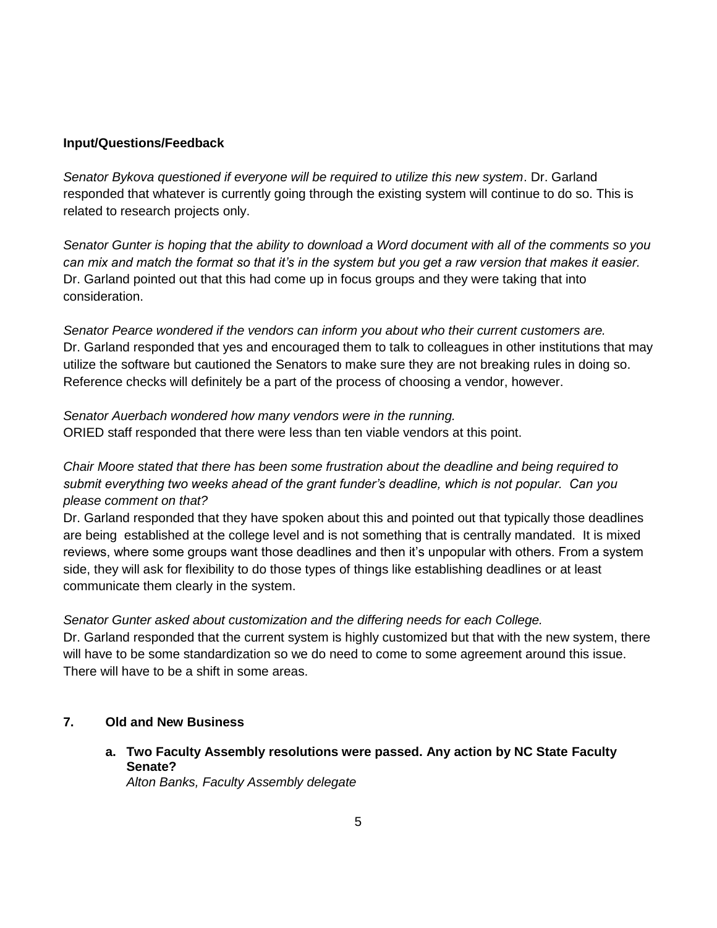#### **Input/Questions/Feedback**

*Senator Bykova questioned if everyone will be required to utilize this new system*. Dr. Garland responded that whatever is currently going through the existing system will continue to do so. This is related to research projects only.

*Senator Gunter is hoping that the ability to download a Word document with all of the comments so you can mix and match the format so that it's in the system but you get a raw version that makes it easier.*  Dr. Garland pointed out that this had come up in focus groups and they were taking that into consideration.

*Senator Pearce wondered if the vendors can inform you about who their current customers are.* Dr. Garland responded that yes and encouraged them to talk to colleagues in other institutions that may utilize the software but cautioned the Senators to make sure they are not breaking rules in doing so. Reference checks will definitely be a part of the process of choosing a vendor, however.

*Senator Auerbach wondered how many vendors were in the running.* ORIED staff responded that there were less than ten viable vendors at this point.

## *Chair Moore stated that there has been some frustration about the deadline and being required to submit everything two weeks ahead of the grant funder's deadline, which is not popular. Can you please comment on that?*

Dr. Garland responded that they have spoken about this and pointed out that typically those deadlines are being established at the college level and is not something that is centrally mandated. It is mixed reviews, where some groups want those deadlines and then it's unpopular with others. From a system side, they will ask for flexibility to do those types of things like establishing deadlines or at least communicate them clearly in the system.

*Senator Gunter asked about customization and the differing needs for each College.*

Dr. Garland responded that the current system is highly customized but that with the new system, there will have to be some standardization so we do need to come to some agreement around this issue. There will have to be a shift in some areas.

### **7. Old and New Business**

**a. Two Faculty Assembly resolutions were passed. Any action by NC State Faculty Senate?** *Alton Banks, Faculty Assembly delegate*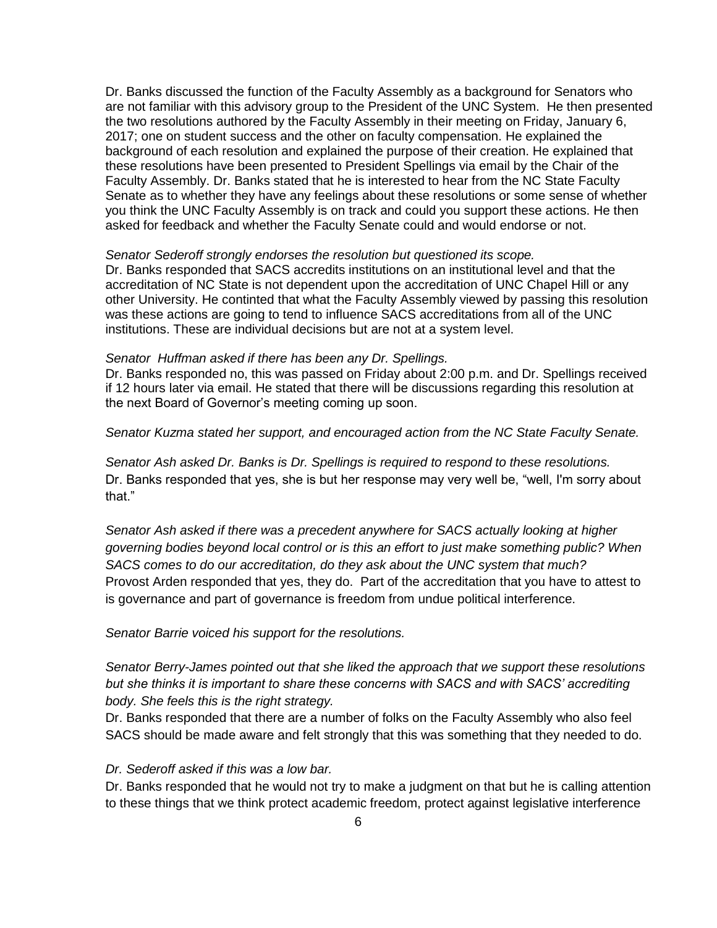Dr. Banks discussed the function of the Faculty Assembly as a background for Senators who are not familiar with this advisory group to the President of the UNC System. He then presented the two resolutions authored by the Faculty Assembly in their meeting on Friday, January 6, 2017; one on student success and the other on faculty compensation. He explained the background of each resolution and explained the purpose of their creation. He explained that these resolutions have been presented to President Spellings via email by the Chair of the Faculty Assembly. Dr. Banks stated that he is interested to hear from the NC State Faculty Senate as to whether they have any feelings about these resolutions or some sense of whether you think the UNC Faculty Assembly is on track and could you support these actions. He then asked for feedback and whether the Faculty Senate could and would endorse or not.

#### *Senator Sederoff strongly endorses the resolution but questioned its scope.*

Dr. Banks responded that SACS accredits institutions on an institutional level and that the accreditation of NC State is not dependent upon the accreditation of UNC Chapel Hill or any other University. He continted that what the Faculty Assembly viewed by passing this resolution was these actions are going to tend to influence SACS accreditations from all of the UNC institutions. These are individual decisions but are not at a system level.

#### *Senator Huffman asked if there has been any Dr. Spellings.*

Dr. Banks responded no, this was passed on Friday about 2:00 p.m. and Dr. Spellings received if 12 hours later via email. He stated that there will be discussions regarding this resolution at the next Board of Governor's meeting coming up soon.

#### *Senator Kuzma stated her support, and encouraged action from the NC State Faculty Senate.*

*Senator Ash asked Dr. Banks is Dr. Spellings is required to respond to these resolutions.* Dr. Banks responded that yes, she is but her response may very well be, "well, I'm sorry about that."

*Senator Ash asked if there was a precedent anywhere for SACS actually looking at higher governing bodies beyond local control or is this an effort to just make something public? When SACS comes to do our accreditation, do they ask about the UNC system that much?* Provost Arden responded that yes, they do. Part of the accreditation that you have to attest to is governance and part of governance is freedom from undue political interference.

#### *Senator Barrie voiced his support for the resolutions.*

*Senator Berry-James pointed out that she liked the approach that we support these resolutions but she thinks it is important to share these concerns with SACS and with SACS' accrediting body. She feels this is the right strategy.*

Dr. Banks responded that there are a number of folks on the Faculty Assembly who also feel SACS should be made aware and felt strongly that this was something that they needed to do.

#### *Dr. Sederoff asked if this was a low bar.*

Dr. Banks responded that he would not try to make a judgment on that but he is calling attention to these things that we think protect academic freedom, protect against legislative interference